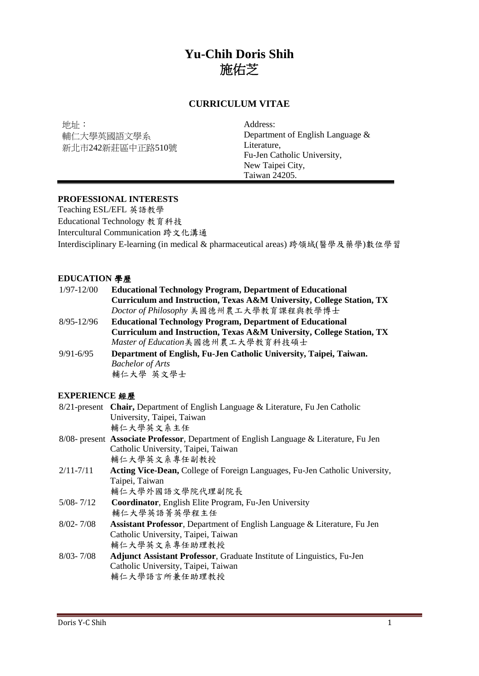# **Yu-Chih Doris Shih**  施佑芝

# **CURRICULUM VITAE**

地址︰ 輔仁大學英國語文學系 新北市242新莊區中正路510號 Address: Department of English Language & Literature, Fu-Jen Catholic University, New Taipei City, Taiwan 24205.

# **PROFESSIONAL INTERESTS**

Teaching ESL/EFL 英語教學 Educational Technology 教育科技 Intercultural Communication 跨文化溝通 Interdisciplinary E-learning (in medical & pharmaceutical areas) 跨領域(醫學及藥學)數位學習

#### **EDUCATION** 學歷

| $1/97 - 12/00$ | <b>Educational Technology Program, Department of Educational</b>      |
|----------------|-----------------------------------------------------------------------|
|                | Curriculum and Instruction, Texas A&M University, College Station, TX |
|                | Doctor of Philosophy 美國德州農工大學教育課程與教學博士                                |
| $8/95 - 12/96$ | <b>Educational Technology Program, Department of Educational</b>      |
|                | Curriculum and Instruction, Texas A&M University, College Station, TX |
|                | Master of Education美國德州農工大學教育科技碩士                                     |
| $9/91 - 6/95$  | Department of English, Fu-Jen Catholic University, Taipei, Taiwan.    |
|                | <b>Bachelor of Arts</b>                                               |
|                | 輔仁大學 英文學士                                                             |

# **EXPERIENCE** 經歷

|               | 8/21-present Chair, Department of English Language & Literature, Fu Jen Catholic       |
|---------------|----------------------------------------------------------------------------------------|
|               | University, Taipei, Taiwan                                                             |
|               | 輔仁大學英文系主任                                                                              |
|               | 8/08- present Associate Professor, Department of English Language & Literature, Fu Jen |
|               | Catholic University, Taipei, Taiwan                                                    |
|               | 輔仁大學英文系專任副教授                                                                           |
| $2/11 - 7/11$ | <b>Acting Vice-Dean, College of Foreign Languages, Fu-Jen Catholic University,</b>     |
|               | Taipei, Taiwan                                                                         |
|               | 輔仁大學外國語文學院代理副院長                                                                        |
| $5/08 - 7/12$ | <b>Coordinator, English Elite Program, Fu-Jen University</b>                           |
|               | 輔仁大學英語菁英學程主任                                                                           |
| $8/02 - 7/08$ | Assistant Professor, Department of English Language & Literature, Fu Jen               |
|               | Catholic University, Taipei, Taiwan                                                    |
|               | 輔仁大學英文系專任助理教授                                                                          |
| $8/03 - 7/08$ | <b>Adjunct Assistant Professor, Graduate Institute of Linguistics, Fu-Jen</b>          |
|               | Catholic University, Taipei, Taiwan                                                    |
|               | 輔仁大學語言所兼任助理教授                                                                          |
|               |                                                                                        |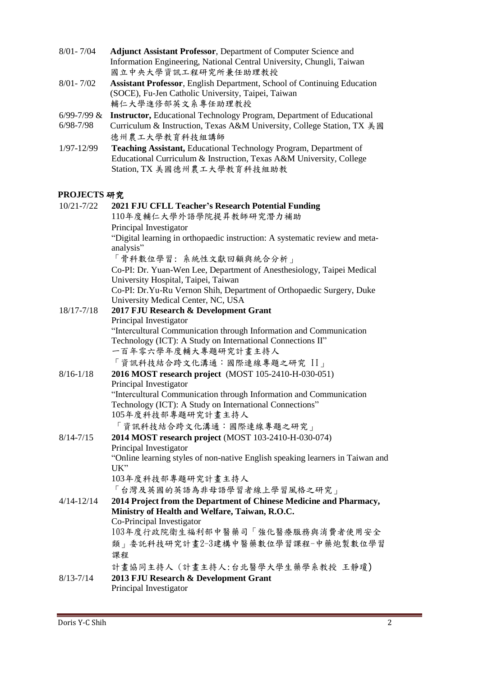- 8/01- 7/04 **Adjunct Assistant Professor**, Department of Computer Science and Information Engineering, National Central University, Chungli, Taiwan 國立中央大學資訊工程研究所兼任助理教授
- 8/01- 7/02 **Assistant Professor**, English Department, School of Continuing Education (SOCE), Fu-Jen Catholic University, Taipei, Taiwan 輔仁大學進修部英文系專任助理教授
- 6/99-7/99 & **Instructor,** Educational Technology Program, Department of Educational
- 6/98-7/98 Curriculum & Instruction, Texas A&M University, College Station, TX 美國 德州農工大學教育科技組講師
- 1/97-12/99 **Teaching Assistant,** Educational Technology Program, Department of Educational Curriculum & Instruction, Texas A&M University, College Station, TX 美國德州農工大學教育科技組助教

# **PROJECTS** 研究

| 10/21-7/22    | 2021 FJU CFLL Teacher's Research Potential Funding                                       |
|---------------|------------------------------------------------------------------------------------------|
|               | 110年度輔仁大學外語學院提昇教師研究潛力補助                                                                  |
|               | Principal Investigator                                                                   |
|               | "Digital learning in orthopaedic instruction: A systematic review and meta-<br>analysis" |
|               | 「骨科數位學習:系統性文獻回顧與統合分析」                                                                    |
|               | Co-PI: Dr. Yuan-Wen Lee, Department of Anesthesiology, Taipei Medical                    |
|               | University Hospital, Taipei, Taiwan                                                      |
|               | Co-PI: Dr. Yu-Ru Vernon Shih, Department of Orthopaedic Surgery, Duke                    |
|               | University Medical Center, NC, USA                                                       |
| 18/17-7/18    | 2017 FJU Research & Development Grant                                                    |
|               | Principal Investigator                                                                   |
|               | "Intercultural Communication through Information and Communication                       |
|               | Technology (ICT): A Study on International Connections II"                               |
|               | 一百年零六學年度輔大專題研究計畫主持人                                                                      |
|               | 「資訊科技結合跨文化溝通:國際連線專題之研究 II」                                                               |
| $8/16 - 1/18$ | 2016 MOST research project (MOST 105-2410-H-030-051)                                     |
|               | Principal Investigator                                                                   |
|               | "Intercultural Communication through Information and Communication                       |
|               | Technology (ICT): A Study on International Connections"                                  |
|               | 105年度科技部專題研究計畫主持人                                                                        |
|               | 「資訊科技結合跨文化溝通:國際連線專題之研究」                                                                  |
| $8/14 - 7/15$ | 2014 MOST research project (MOST 103-2410-H-030-074)                                     |
|               | Principal Investigator                                                                   |
|               | "Online learning styles of non-native English speaking learners in Taiwan and            |
|               | $UK$ "                                                                                   |
|               | 103年度科技部專題研究計畫主持人                                                                        |
|               | 「台灣及英國的英語為非母語學習者線上學習風格之研究」                                                               |
| 4/14-12/14    | 2014 Project from the Department of Chinese Medicine and Pharmacy,                       |
|               | Ministry of Health and Welfare, Taiwan, R.O.C.                                           |
|               | Co-Principal Investigator                                                                |
|               | 103年度行政院衛生福利部中醫藥司「強化醫療服務與消費者使用安全                                                         |
|               | 類」委託科技研究計畫2-3建構中醫藥數位學習課程-中藥炮製數位學習                                                        |
|               | 課程                                                                                       |
|               | 計畫協同主持人 (計畫主持人:台北醫學大學生藥學系教授 王靜瓊)                                                         |
| $8/13 - 7/14$ | 2013 FJU Research & Development Grant                                                    |
|               | Principal Investigator                                                                   |
|               |                                                                                          |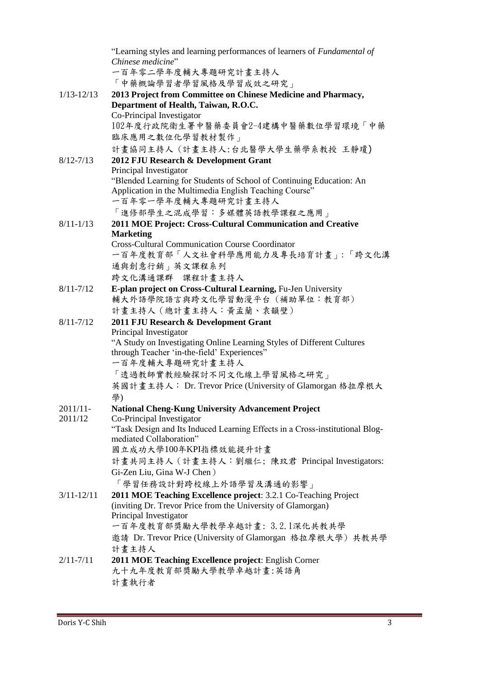|                | "Learning styles and learning performances of learners of Fundamental of        |
|----------------|---------------------------------------------------------------------------------|
|                | Chinese medicine"                                                               |
|                | 一百年零二學年度輔大專題研究計畫主持人                                                             |
|                | 「中藥概論學習者學習風格及學習成效之研究」                                                           |
| $1/13 - 12/13$ | 2013 Project from Committee on Chinese Medicine and Pharmacy,                   |
|                | Department of Health, Taiwan, R.O.C.                                            |
|                | Co-Principal Investigator                                                       |
|                | 102年度行政院衛生署中醫藥委員會2-4建構中醫藥數位學習環境「中藥                                              |
|                | 臨床應用之數位化學習教材製作」                                                                 |
|                | 計畫協同主持人 (計畫主持人:台北醫學大學生藥學系教授 王靜瓊)                                                |
| $8/12 - 7/13$  | 2012 FJU Research & Development Grant                                           |
|                | Principal Investigator                                                          |
|                | "Blended Learning for Students of School of Continuing Education: An            |
|                | Application in the Multimedia English Teaching Course"                          |
|                | 一百年零一學年度輔大專題研究計畫主持人                                                             |
|                | 「進修部學生之混成學習:多媒體英語教學課程之應用」                                                       |
| $8/11 - 1/13$  | 2011 MOE Project: Cross-Cultural Communication and Creative<br><b>Marketing</b> |
|                | <b>Cross-Cultural Communication Course Coordinator</b>                          |
|                | 一百年度教育部「人文社會科學應用能力及專長培育計畫」:「跨文化溝                                                |
|                | 通與創意行銷」英文課程系列                                                                   |
|                |                                                                                 |
|                | 跨文化溝通課群 課程計畫主持人                                                                 |
| $8/11 - 7/12$  | E-plan project on Cross-Cultural Learning, Fu-Jen University                    |
|                | 輔大外語學院語言與跨文化學習動漫平台(補助單位:教育部)                                                    |
|                | 計畫主持人 (總計畫主持人:黃孟蘭、袁韻壁)                                                          |
| $8/11 - 7/12$  | 2011 FJU Research & Development Grant<br>Principal Investigator                 |
|                | "A Study on Investigating Online Learning Styles of Different Cultures          |
|                | through Teacher 'in-the-field' Experiences"                                     |
|                | 一百年度輔大專題研究計畫主持人                                                                 |
|                | 「透過教師實教經驗探討不同文化線上學習風格之研究」                                                       |
|                | 英國計畫主持人: Dr. Trevor Price (University of Glamorgan 格拉摩根大                        |
|                | 學)                                                                              |
| $2011/11 -$    | <b>National Cheng-Kung University Advancement Project</b>                       |
| 2011/12        | Co-Principal Investigator                                                       |
|                | "Task Design and Its Induced Learning Effects in a Cross-institutional Blog-    |
|                | mediated Collaboration"                                                         |
|                | 國立成功大學100年KPI指標效能提升計畫                                                           |
|                | 計畫共同主持人 (計畫主持人:劉繼仁; 陳玟君 Principal Investigators:                                |
|                | Gi-Zen Liu, Gina W-J Chen)                                                      |
|                | 「學習任務設計對跨校線上外語學習及溝通的影響」                                                         |
| $3/11 - 12/11$ | 2011 MOE Teaching Excellence project: 3.2.1 Co-Teaching Project                 |
|                | (inviting Dr. Trevor Price from the University of Glamorgan)                    |
|                | Principal Investigator                                                          |
|                | 一百年度教育部獎勵大學教學卓越計畫: 3.2.1深化共教共學                                                  |
|                | 邀請 Dr. Trevor Price (University of Glamorgan 格拉摩根大學) 共教共學                       |
|                | 計畫主持人                                                                           |
| $2/11 - 7/11$  | 2011 MOE Teaching Excellence project: English Corner                            |
|                | 九十九年度教育部獎勵大學教學卓越計畫:英語角                                                          |
|                | 計畫執行者                                                                           |
|                |                                                                                 |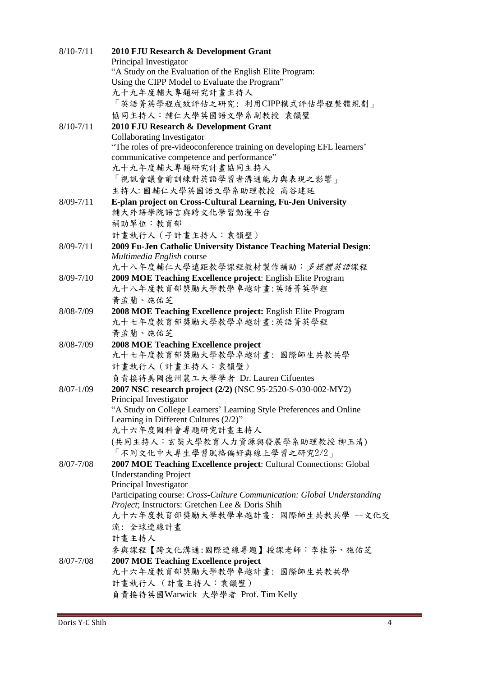| $8/10 - 7/11$ | 2010 FJU Research & Development Grant<br>Principal Investigator                    |
|---------------|------------------------------------------------------------------------------------|
|               | "A Study on the Evaluation of the English Elite Program:                           |
|               | Using the CIPP Model to Evaluate the Program"                                      |
|               | 九十九年度輔大專題研究計畫主持人                                                                   |
|               | 「英語菁英學程成效評估之研究: 利用CIPP模式評估學程整體規劃」                                                  |
|               |                                                                                    |
|               | 協同主持人:輔仁大學英國語文學系副教授 袁韻璧                                                            |
| $8/10 - 7/11$ | 2010 FJU Research & Development Grant                                              |
|               | <b>Collaborating Investigator</b>                                                  |
|               | "The roles of pre-videoconference training on developing EFL learners'             |
|               | communicative competence and performance"<br>九十九年度輔大專題研究計畫協同主持人                    |
|               |                                                                                    |
|               | 「視訊會議會前訓練對英語學習者溝通能力與表現之影響」                                                         |
|               | 主持人:國輔仁大學英國語文學系助理教授 高谷建廷                                                           |
| $8/09 - 7/11$ | E-plan project on Cross-Cultural Learning, Fu-Jen University<br>輔大外語學院語言與跨文化學習動漫平台 |
|               | 補助單位:教育部                                                                           |
|               | 計畫執行人 (子計畫主持人:袁韻壁)                                                                 |
| $8/09 - 7/11$ | 2009 Fu-Jen Catholic University Distance Teaching Material Design:                 |
|               | Multimedia English course                                                          |
|               | 九十八年度輔仁大學遠距教學課程教材製作補助:多媒體英語課程                                                      |
| $8/09 - 7/10$ | 2009 MOE Teaching Excellence project: English Elite Program                        |
|               | 九十八年度教育部獎勵大學教學卓越計畫:英語菁英學程                                                          |
|               | 黄孟蘭、施佑芝                                                                            |
| 8/08-7/09     | 2008 MOE Teaching Excellence project: English Elite Program                        |
|               | 九十七年度教育部獎勵大學教學卓越計畫:英語菁英學程                                                          |
|               |                                                                                    |
|               | 黃孟蘭、施佑芝                                                                            |
| 8/08-7/09     | <b>2008 MOE Teaching Excellence project</b>                                        |
|               | 九十七年度教育部獎勵大學教學卓越計畫: 國際師生共教共學                                                       |
|               | 計畫執行人 (計畫主持人:袁韻壁)                                                                  |
|               | 負責接待美國德州農工大學學者 Dr. Lauren Cifuentes                                                |
| $8/07 - 1/09$ | 2007 NSC research project (2/2) (NSC 95-2520-S-030-002-MY2)                        |
|               | Principal Investigator                                                             |
|               | "A Study on College Learners' Learning Style Preferences and Online                |
|               | Learning in Different Cultures (2/2)"                                              |
|               | 九十六年度國科會專題研究計畫主持人                                                                  |
|               | (共同主持人:玄奘大學教育人力資源與發展學系助理教授 柳玉清)                                                    |
|               | 「不同文化中大專生學習風格偏好與線上學習之研究2/2」                                                        |
| $8/07 - 7/08$ | 2007 MOE Teaching Excellence project: Cultural Connections: Global                 |
|               | <b>Understanding Project</b>                                                       |
|               | Principal Investigator                                                             |
|               | Participating course: Cross-Culture Communication: Global Understanding            |
|               | Project; Instructors: Gretchen Lee & Doris Shih                                    |
|               | 九十六年度教育部獎勵大學教學卓越計畫:國際師生共教共學 --文化交                                                  |
|               | 流: 全球連線計畫                                                                          |
|               | 計畫主持人                                                                              |
|               | 參與課程【跨文化溝通:國際連線專題】授課老師:李桂芬、施佑芝                                                     |
| $8/07 - 7/08$ | 2007 MOE Teaching Excellence project                                               |
|               | 九十六年度教育部獎勵大學教學卓越計畫: 國際師生共教共學                                                       |
|               | 計畫執行人 (計畫主持人:袁韻壁)                                                                  |
|               | 負責接待英國Warwick 大學學者 Prof. Tim Kelly                                                 |
|               |                                                                                    |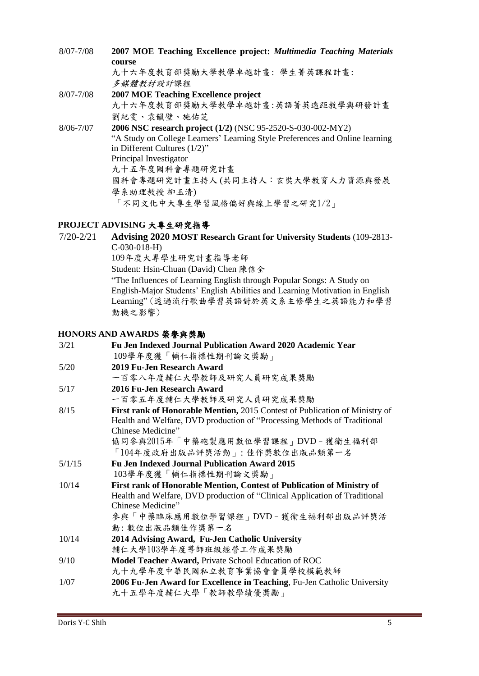8/07-7/08 **2007 MOE Teaching Excellence project:** *Multimedia Teaching Materials*  **course** 九十六年度教育部獎勵大學教學卓越計畫: 學生菁英課程計畫: 多媒體教材設計課程 8/07-7/08 **2007 MOE Teaching Excellence project** 九十六年度教育部獎勵大學教學卓越計畫:英語菁英遠距教學與研發計畫 劉紀雯、袁韻壁、施佑芝 8/06-7/07 **2006 NSC research project (1/2)** (NSC 95-2520-S-030-002-MY2) "A Study on College Learners' Learning Style Preferences and Online learning in Different Cultures (1/2)" Principal Investigator 九十五年度國科會專題研究計畫 國科會專題研究計畫主持人 (共同主持人:玄奘大學教育人力資源與發展 學系助理教授 柳玉清) 「不同文化中大專生學習風格偏好與線上學習之研究1/2」

## **PROJECT ADVISING** 大專生研究指導

7/20-2/21 **Advising 2020 MOST Research Grant for University Students** (109-2813- C-030-018-H) 109年度大專學生研究計畫指導老師 Student: Hsin-Chuan (David) Chen 陳信全 "The Influences of Learning English through Popular Songs: A Study on English-Major Students' English Abilities and Learning Motivation in English Learning" (透過流行歌曲學習英語對於英文系主修學生之英語能力和學習 動機之影響)

## **HONORS AND AWARDS** 榮譽與獎勵

| 3/21   | Fu Jen Indexed Journal Publication Award 2020 Academic Year                 |
|--------|-----------------------------------------------------------------------------|
|        | 109學年度獲「輔仁指標性期刊論文獎勵」                                                        |
| 5/20   | 2019 Fu-Jen Research Award                                                  |
|        | 一百零八年度輔仁大學教師及研究人員研究成果獎勵                                                     |
| 5/17   | 2016 Fu-Jen Research Award                                                  |
|        | 一百零五年度輔仁大學教師及研究人員研究成果獎勵                                                     |
| 8/15   | First rank of Honorable Mention, 2015 Contest of Publication of Ministry of |
|        | Health and Welfare, DVD production of "Processing Methods of Traditional    |
|        | Chinese Medicine"                                                           |
|        | 協同參與2015年「中藥砲製應用數位學習課程」DVD - 獲衛生福利部                                         |
|        | 「104年度政府出版品評獎活動」: 佳作獎數位出版品類第一名                                              |
| 5/1/15 | <b>Fu Jen Indexed Journal Publication Award 2015</b>                        |
|        | 103學年度獲「輔仁指標性期刊論文獎勵」                                                        |
| 10/14  | First rank of Honorable Mention, Contest of Publication of Ministry of      |
|        | Health and Welfare, DVD production of "Clinical Application of Traditional  |
|        | Chinese Medicine"                                                           |
|        | 參與「中藥臨床應用數位學習課程」DVD - 獲衛生福利部出版品評獎活                                          |
|        | 動:數位出版品類佳作獎第一名                                                              |
| 10/14  | 2014 Advising Award, Fu-Jen Catholic University                             |
|        | 輔仁大學103學年度導師班級經營工作成果獎勵                                                      |
| 9/10   | Model Teacher Award, Private School Education of ROC                        |
|        | 九十九學年度中華民國私立教育事業協會會員學校模範教師                                                  |
| 1/07   | 2006 Fu-Jen Award for Excellence in Teaching, Fu-Jen Catholic University    |
|        | 九十五學年度輔仁大學「教師教學績優獎勵」                                                        |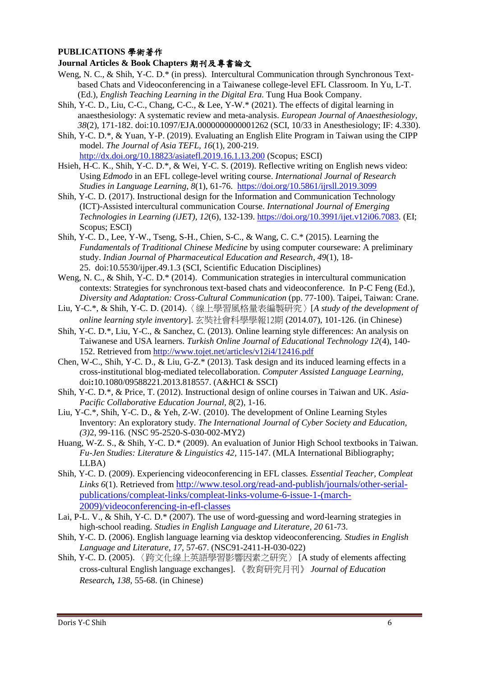## **PUBLICATIONS** 學術著作

#### **Journal Articles & Book Chapters** 期刊及專書論文

- Weng, N. C., & Shih, Y-C. D.\* (in press). Intercultural Communication through Synchronous Textbased Chats and Videoconferencing in a Taiwanese college-level EFL Classroom. In Yu, L-T. (Ed.), *English Teaching Learning in the Digital Era.* Tung Hua Book Company.
- Shih, Y-C. D., Liu, C-C., Chang, C-C., & Lee, Y-W.\* (2021). The effects of digital learning in anaesthesiology: A systematic review and meta-analysis. *European Journal of Anaesthesiology, 38*(2), 171-182. doi:10.1097/EJA.0000000000001262 (SCI, 10/33 in Anesthesiology; IF: 4.330).
- Shih, Y-C. D.\*, & Yuan, Y-P. (2019). Evaluating an English Elite Program in Taiwan using the CIPP model. *The Journal of Asia TEFL, 16*(1), 200-219. <http://dx.doi.org/10.18823/asiatefl.2019.16.1.13.200> (Scopus; ESCI)
- Hsieh, H-C. K., Shih, Y-C. D.\*, & Wei, Y-C. S. (2019). Reflective writing on English news video: Using *Edmodo* in an EFL college-level writing course. *International Journal of Research Studies in Language Learning, 8*(1), 61-76. <https://doi.org/10.5861/ijrsll.2019.3099>
- Shih, Y-C. D. (2017). Instructional design for the Information and Communication Technology (ICT)-Assisted intercultural communication Course. *International Journal of Emerging Technologies in Learning (iJET), 12*(6), 132-139.<https://doi.org/10.3991/ijet.v12i06.7083>*.* (EI; Scopus; ESCI)
- Shih, Y-C. D., Lee, Y-W., Tseng, S-H., Chien, S-C., & Wang, C. C.\* (2015). Learning the *Fundamentals of Traditional Chinese Medicine* by using computer courseware: A preliminary study. *Indian Journal of Pharmaceutical Education and Research, 49*(1), 18- 25. doi:10.5530/ijper.49.1.3 (SCI, Scientific Education Disciplines)
- Weng, N. C., & Shih, Y-C. D.\* (2014). Communication strategies in intercultural communication contexts: Strategies for synchronous text-based chats and videoconference. In P-C Feng (Ed.), *Diversity and Adaptation: Cross-Cultural Communication* (pp. 77-100). Taipei, Taiwan: Crane.
- Liu, Y-C.\*, & Shih, Y-C. D. (2014).〈線上學習風格量表編製研究〉[*A study of the development of online learning style inventory*]. 玄奘社會科學學報12期 (2014.07), 101-126. (in Chinese)
- Shih, Y-C. D.\*, Liu, Y-C., & Sanchez, C. (2013). Online learning style differences: An analysis on Taiwanese and USA learners. *Turkish Online Journal of Educational Technology 12*(4), 140- 152. Retrieved fro[m http://www.tojet.net/articles/v12i4/12416.pdf](http://www.tojet.net/articles/v12i4/12416.pdf)
- Chen, W-C., Shih, Y-C. D., & Liu, G-Z.\* (2013). Task design and its induced learning effects in a cross-institutional blog-mediated telecollaboration. *Computer Assisted Language Learning*, doi**:**10.1080/09588221.2013.818557. (A&HCI & SSCI)
- Shih, Y-C. D.\*, & Price, T. (2012). Instructional design of online courses in Taiwan and UK. *Asia-Pacific Collaborative Education Journal, 8*(2), 1-16.
- Liu, Y-C.\*, Shih, Y-C. D., & Yeh, Z-W. (2010). The development of Online Learning Styles Inventory: An exploratory study. *The International Journal of Cyber Society and Education, (3)*2, 99-116*.* (NSC 95-2520-S-030-002-MY2)
- Huang, W-Z. S., & Shih, Y-C. D.\* (2009). An evaluation of Junior High School textbooks in Taiwan. *Fu-Jen Studies: Literature & Linguistics 42,* 115-147. (MLA International Bibliography; LLBA)
- Shih, Y-C. D. (2009). Experiencing videoconferencing in EFL classes*. Essential Teacher, Compleat Links 6*(1). Retrieved from [http://www.tesol.org/read-and-publish/journals/other-serial](http://www.tesol.org/read-and-publish/journals/other-serial-publications/compleat-links/compleat-links-volume-6-issue-1-(march-2009)/videoconferencing-in-efl-classes)[publications/compleat-links/compleat-links-volume-6-issue-1-\(march-](http://www.tesol.org/read-and-publish/journals/other-serial-publications/compleat-links/compleat-links-volume-6-issue-1-(march-2009)/videoconferencing-in-efl-classes)[2009\)/videoconferencing-in-efl-classes](http://www.tesol.org/read-and-publish/journals/other-serial-publications/compleat-links/compleat-links-volume-6-issue-1-(march-2009)/videoconferencing-in-efl-classes)
- Lai, P-L. V., & Shih, Y-C. D.\* (2007). The use of word-guessing and word-learning strategies in high-school reading. *Studies in English Language and Literature, 20* 61-73.
- Shih, Y-C. D. (2006). English language learning via desktop videoconferencing*. Studies in English Language and Literature, 17*, 57-67. (NSC91-2411-H-030-022)
- Shih, Y-C. D. (2005). 〈跨文化線上英語學習影響因素之研究〉 [A study of elements affecting cross-cultural English language exchanges]. 《教育研究月刊》 *Journal of Education Research, 138,* 55-68. (in Chinese)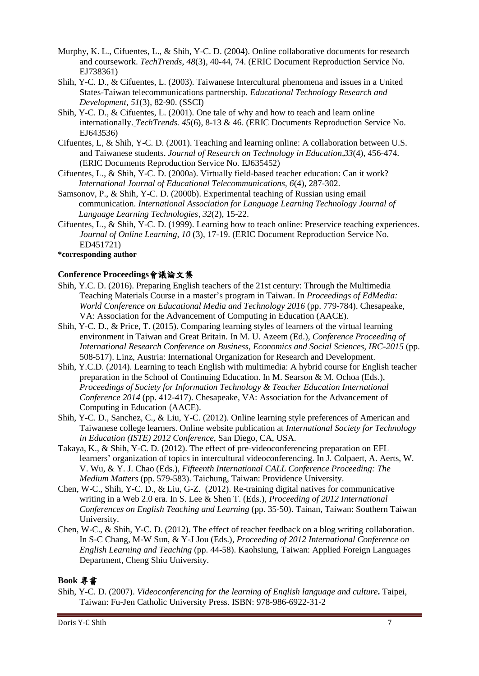- Murphy, K. L., Cifuentes, L., & Shih, Y-C. D. (2004). Online collaborative documents for research and coursework. *TechTrends*, *48*(3), 40-44, 74. (ERIC Document Reproduction Service No. EJ738361)
- Shih, Y-C. D., & Cifuentes, L. (2003). Taiwanese Intercultural phenomena and issues in a United States-Taiwan telecommunications partnership*. Educational Technology Research and Development, 51*(3), 82-90. (SSCI)
- Shih, Y-C. D., & Cifuentes, L. (2001). One tale of why and how to teach and learn online internationally. *TechTrends. 45*(6), 8-13 & 46. (ERIC Documents Reproduction Service No. EJ643536)
- Cifuentes, L, & Shih, Y-C. D. (2001). Teaching and learning online: A collaboration between U.S. and Taiwanese students. *Journal of Research on Technology in Education,33*(4), 456-474. (ERIC Documents Reproduction Service No. EJ635452)
- Cifuentes, L., & Shih, Y-C. D. (2000a). Virtually field-based teacher education: Can it work? *International Journal of Educational Telecommunications, 6*(4), 287-302.
- Samsonov, P., & Shih, Y-C. D. (2000b). Experimental teaching of Russian using email communication. *International Association for Language Learning Technology Journal of Language Learning Technologies, 32*(2), 15-22.
- Cifuentes, L., & Shih, Y-C. D. (1999). Learning how to teach online: Preservice teaching experiences. *Journal of Online Learning, 10* (3), 17-19. (ERIC Document Reproduction Service No. ED451721)

#### **\*corresponding author**

#### **Conference Proceedings**會議論文集

- Shih, Y.C. D. (2016). Preparing English teachers of the 21st century: Through the Multimedia Teaching Materials Course in a master's program in Taiwan. In *Proceedings of EdMedia: World Conference on Educational Media and Technology 2016* (pp. 779-784). Chesapeake, VA: Association for the Advancement of Computing in Education (AACE).
- Shih, Y-C. D., & Price, T. (2015). Comparing learning styles of learners of the virtual learning environment in Taiwan and Great Britain*.* In M. U. Azeem (Ed.), *Conference Proceeding of International Research Conference on Business, Economics and Social Sciences, IRC-2015* (pp. 508-517). Linz, Austria: International Organization for Research and Development.
- Shih, Y.C.D. (2014). Learning to teach English with multimedia: A hybrid course for English teacher preparation in the School of Continuing Education. In M. Searson & M. Ochoa (Eds.), *Proceedings of Society for Information Technology & Teacher Education International Conference 2014* (pp. 412-417). Chesapeake, VA: Association for the Advancement of Computing in Education (AACE).
- Shih, Y-C. D., Sanchez, C., & Liu, Y-C. (2012). Online learning style preferences of American and Taiwanese college learners. Online website publication at *International Society for Technology in Education (ISTE) 2012 Conference*, San Diego, CA, USA.
- Takaya, K., & Shih, Y-C. D. (2012). The effect of pre-videoconferencing preparation on EFL learners' organization of topics in intercultural videoconferencing. In J. Colpaert, A. Aerts, W. V. Wu, & Y. J. Chao (Eds.), *Fifteenth International CALL Conference Proceeding: The Medium Matters* (pp. 579-583). Taichung, Taiwan: Providence University.
- Chen, W-C., Shih, Y-C. D., & Liu, G-Z. (2012). Re-training digital natives for communicative writing in a Web 2.0 era. In S. Lee & Shen T. (Eds.), *Proceeding of 2012 International Conferences on English Teaching and Learning* (pp. 35-50). Tainan, Taiwan: Southern Taiwan University.
- Chen, W-C., & Shih, Y-C. D. (2012). The effect of teacher feedback on a blog writing collaboration. In S-C Chang, M-W Sun, & Y-J Jou (Eds.), *Proceeding of 2012 International Conference on English Learning and Teaching* (pp. 44-58). Kaohsiung, Taiwan: Applied Foreign Languages Department, Cheng Shiu University.

#### **Book** 專書

Shih, Y-C. D. (2007). *Videoconferencing for the learning of English language and culture***.** Taipei, Taiwan: Fu-Jen Catholic University Press. ISBN: 978-986-6922-31-2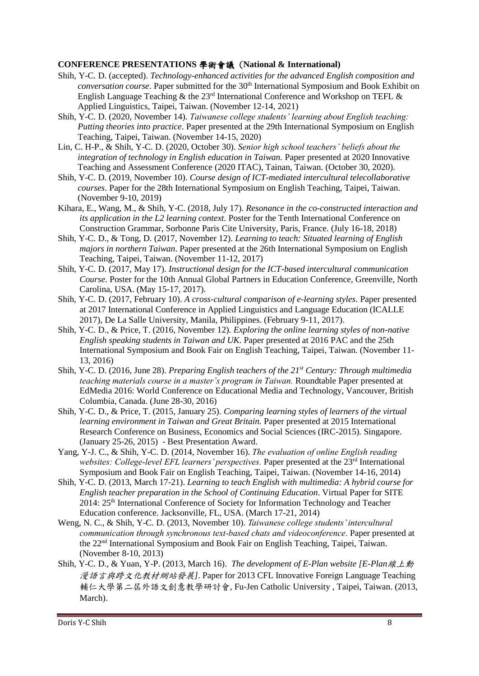### **CONFERENCE PRESENTATIONS** 學術會議 (**National & International)**

- Shih, Y-C. D. (accepted). *Technology-enhanced activities for the advanced English composition and conversation course*. Paper submitted for the 30<sup>th</sup> International Symposium and Book Exhibit on English Language Teaching & the 23<sup>rd</sup> International Conference and Workshop on TEFL & Applied Linguistics, Taipei, Taiwan. (November 12-14, 2021)
- Shih, Y-C. D. (2020, November 14). *Taiwanese college students' learning about English teaching: Putting theories into practice*. Paper presented at the 29th International Symposium on English Teaching, Taipei, Taiwan. (November 14-15, 2020)
- Lin, C. H-P., & Shih, Y-C. D. (2020, October 30). *Senior high school teachers' beliefs about the integration of technology in English education in Taiwan.* Paper presented at 2020 Innovative Teaching and Assessment Conference (2020 ITAC), Tainan, Taiwan. (October 30, 2020).
- Shih, Y-C. D. (2019, November 10). *Course design of ICT-mediated intercultural telecollaborative courses*. Paper for the 28th International Symposium on English Teaching, Taipei, Taiwan. (November 9-10, 2019)
- Kihara, E., Wang, M., & Shih, Y-C. (2018, July 17). *Resonance in the co-constructed interaction and its application in the L2 learning context.* Poster for the Tenth International Conference on Construction Grammar, Sorbonne Paris Cite University, Paris, France. (July 16-18, 2018)
- Shih, Y-C. D., & Tong, D. (2017, November 12). *Learning to teach: Situated learning of English majors in northern Taiwan*. Paper presented at the 26th International Symposium on English Teaching, Taipei, Taiwan. (November 11-12, 2017)
- Shih, Y-C. D. (2017, May 17). *Instructional design for the ICT-based intercultural communication Course.* Poster for the 10th Annual Global Partners in Education Conference, Greenville, North Carolina, USA. (May 15-17, 2017).
- Shih, Y-C. D. (2017, February 10). *A cross-cultural comparison of e-learning styles*. Paper presented at 2017 International Conference in Applied Linguistics and Language Education (ICALLE 2017), De La Salle University, Manila, Philippines. (February 9-11, 2017).
- Shih, Y-C. D., & Price, T. (2016, November 12). *Exploring the online learning styles of non-native English speaking students in Taiwan and UK*. Paper presented at 2016 PAC and the 25th International Symposium and Book Fair on English Teaching, Taipei, Taiwan. (November 11- 13, 2016)
- Shih, Y-C. D. (2016, June 28). *Preparing English teachers of the 21st Century: Through multimedia teaching materials course in a master's program in Taiwan.* Roundtable Paper presented at EdMedia 2016: World Conference on Educational Media and Technology, Vancouver, British Columbia, Canada. (June 28-30, 2016)
- Shih, Y-C. D., & Price, T. (2015, January 25). *Comparing learning styles of learners of the virtual learning environment in Taiwan and Great Britain.* Paper presented at 2015 International Research Conference on Business, Economics and Social Sciences (IRC-2015)*.* Singapore. (January 25-26, 2015) - Best Presentation Award.
- Yang, Y-J. C., & Shih, Y-C. D. (2014, November 16). *The evaluation of online English reading websites: College-level EFL learners' perspectives.* Paper presented at the 23rd International Symposium and Book Fair on English Teaching, Taipei, Taiwan. (November 14-16, 2014)
- Shih, Y-C. D. (2013, March 17-21). *Learning to teach English with multimedia: A hybrid course for English teacher preparation in the School of Continuing Education*. Virtual Paper for SITE 2014: 25th International Conference of Society for Information Technology and Teacher Education conference. Jacksonville, FL, USA. (March 17-21, 2014)
- Weng, N. C., & Shih, Y-C. D. (2013, November 10). *Taiwanese college students'intercultural communication through synchronous text-based chats and videoconference*. Paper presented at the 22nd International Symposium and Book Fair on English Teaching, Taipei, Taiwan. (November 8-10, 2013)
- Shih, Y-C. D., & Yuan, Y-P. (2013, March 16). *The development of E-Plan website [E-Plan*線上動 漫語言與跨文化教材網站發展*]*. Paper for 2013 CFL Innovative Foreign Language Teaching 輔仁大學第二屆外語文創意教學研討會, Fu-Jen Catholic University , Taipei, Taiwan. (2013, March).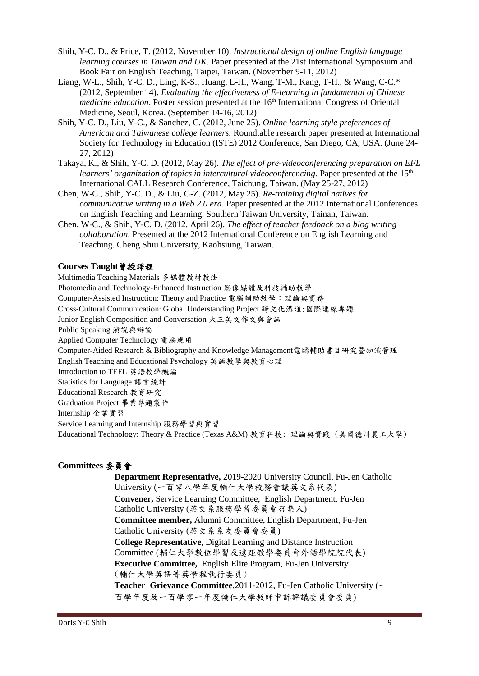- Shih, Y-C. D., & Price, T. (2012, November 10). *Instructional design of online English language learning courses in Taiwan and UK*. Paper presented at the 21st International Symposium and Book Fair on English Teaching, Taipei, Taiwan. (November 9-11, 2012)
- Liang, W-L., Shih, Y-C. D., Ling, K-S., Huang, L-H., Wang, T-M., Kang, T-H., & Wang, C-C.\* (2012, September 14). *Evaluating the effectiveness of E-learning in fundamental of Chinese medicine education*. Poster session presented at the 16<sup>th</sup> International Congress of Oriental Medicine, Seoul, Korea. (September 14-16, 2012)
- Shih, Y-C. D., Liu, Y-C., & Sanchez, C. (2012, June 25). *Online learning style preferences of American and Taiwanese college learners.* Roundtable research paper presented at International Society for Technology in Education (ISTE) 2012 Conference, San Diego, CA, USA. (June 24- 27, 2012)
- Takaya, K., & Shih, Y-C. D. (2012, May 26). *The effect of pre-videoconferencing preparation on EFL learners' organization of topics in intercultural videoconferencing.* Paper presented at the 15<sup>th</sup> International CALL Research Conference, Taichung, Taiwan. (May 25-27, 2012)
- Chen, W-C., Shih, Y-C. D., & Liu, G-Z. (2012, May 25). *Re-training digital natives for communicative writing in a Web 2.0 era*. Paper presented at the 2012 International Conferences on English Teaching and Learning. Southern Taiwan University, Tainan, Taiwan.
- Chen, W-C., & Shih, Y-C. D. (2012, April 26). *The effect of teacher feedback on a blog writing collaboration*. Presented at the 2012 International Conference on English Learning and Teaching. Cheng Shiu University, Kaohsiung, Taiwan.

#### **Courses Taught**曾授課程

Multimedia Teaching Materials 多媒體教材教法 Photomedia and Technology-Enhanced Instruction 影像媒體及科技輔助教學 Computer-Assisted Instruction: Theory and Practice 電腦輔助教學:理論與實務 Cross-Cultural Communication: Global Understanding Project 跨文化溝通:國際連線專題 Junior English Composition and Conversation 大三英文作文與會話 Public Speaking 演說與辯論 Applied Computer Technology 電腦應用 Computer-Aided Research & Bibliography and Knowledge Management電腦輔助書目研究暨知識管理 English Teaching and Educational Psychology 英語教學與教育心理 Introduction to TEFL 英語教學概論 Statistics for Language 語言統計 Educational Research 教育研究 Graduation Project 畢業專題製作 Internship 企業實習 Service Learning and Internship 服務學習與實習 Educational Technology: Theory & Practice (Texas A&M) 教育科技: 理論與實踐 (美國德州農工大學)

## **Committees** 委員會

**Department Representative,** 2019-2020 University Council, Fu-Jen Catholic University (一百零八學年度輔仁大學校務會議英文系代表) **Convener,** Service Learning Committee, English Department, Fu-Jen Catholic University (英文系服務學習委員會召集人) **Committee member,** Alumni Committee, English Department, Fu-Jen Catholic University (英文系系友委員會委員) **College Representative**, Digital Learning and Distance Instruction Committee (輔仁大學數位學習及遠距教學委員會外語學院院代表) **Executive Committee,** English Elite Program, Fu-Jen University (輔仁大學英語菁英學程執行委員) **Teacher Grievance Committee**,2011-2012, Fu-Jen Catholic University (一 百學年度及一百學零一年度輔仁大學教師申訴評議委員會委員)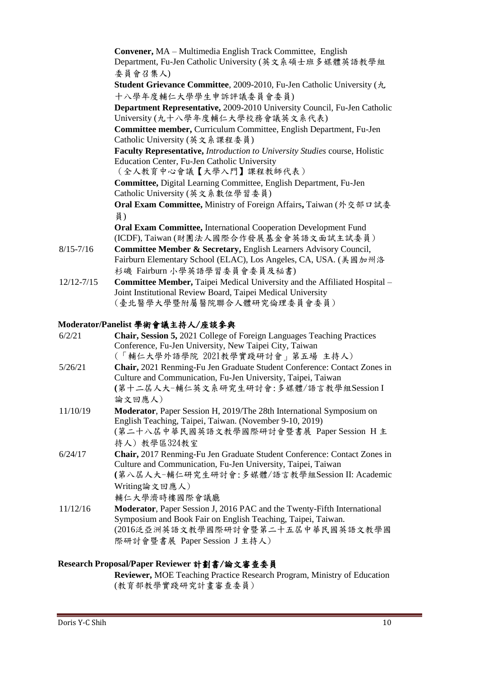|                | <b>Convener, MA</b> – Multimedia English Track Committee, English                                   |
|----------------|-----------------------------------------------------------------------------------------------------|
|                | Department, Fu-Jen Catholic University (英文系碩士班多媒體英語教學組                                              |
|                | 委員會召集人)                                                                                             |
|                | <b>Student Grievance Committee</b> , 2009-2010, Fu-Jen Catholic University $(A)$                    |
|                | 十八學年度輔仁大學學生申訴評議委員會委員)                                                                               |
|                | Department Representative, 2009-2010 University Council, Fu-Jen Catholic                            |
|                | University (九十八學年度輔仁大學校務會議英文系代表)                                                                    |
|                | Committee member, Curriculum Committee, English Department, Fu-Jen<br>Catholic University (英文系課程委員) |
|                | Faculty Representative, Introduction to University Studies course, Holistic                         |
|                | Education Center, Fu-Jen Catholic University                                                        |
|                | (全人教育中心會議【大學入門】課程教師代表)                                                                              |
|                | Committee, Digital Learning Committee, English Department, Fu-Jen                                   |
|                | Catholic University (英文系數位學習委員)                                                                     |
|                | Oral Exam Committee, Ministry of Foreign Affairs, Taiwan (外交部ロ試委                                    |
|                | 員)                                                                                                  |
|                | <b>Oral Exam Committee, International Cooperation Development Fund</b>                              |
|                | (ICDF), Taiwan (財團法人國際合作發展基金會英語文面試主試委員)                                                             |
| $8/15 - 7/16$  | Committee Member & Secretary, English Learners Advisory Council,                                    |
|                | Fairburn Elementary School (ELAC), Los Angeles, CA, USA. (美國加州洛                                     |
|                | 杉磯 Fairburn 小學英語學習委員會委員及秘書)                                                                         |
| $12/12 - 7/15$ | Committee Member, Taipei Medical University and the Affiliated Hospital -                           |
|                | Joint Institutional Review Board, Taipei Medical University                                         |
|                | (臺北醫學大學暨附屬醫院聯合人體研究倫理委員會委員)                                                                          |
|                |                                                                                                     |

# **Moderator/Panelist** 學術會議主持人/座談參與

| 6/2/21   | <b>Chair, Session 5, 2021 College of Foreign Languages Teaching Practices</b><br>Conference, Fu-Jen University, New Taipei City, Taiwan<br>(「輔仁大學外語學院 2021教學實踐研討會」第五場 主持人)                                                 |
|----------|----------------------------------------------------------------------------------------------------------------------------------------------------------------------------------------------------------------------------|
| 5/26/21  | Chair, 2021 Renming-Fu Jen Graduate Student Conference: Contact Zones in<br>Culture and Communication, Fu-Jen University, Taipei, Taiwan<br>(第十二屆人大-輔仁英文系研究生研討會:多媒體/語言教學組Session I<br>論文回應人)                               |
| 11/10/19 | <b>Moderator</b> , Paper Session H, 2019/The 28th International Symposium on<br>English Teaching, Taipei, Taiwan. (November 9-10, 2019)<br>(第二十八屆中華民國英語文教學國際研討會暨書展 Paper Session H 主<br>持人)教學區324教室                        |
| 6/24/17  | Chair, 2017 Renming-Fu Jen Graduate Student Conference: Contact Zones in<br>Culture and Communication, Fu-Jen University, Taipei, Taiwan<br>(第八屆人大-輔仁研究生研討會:多媒體/語言教學組Session II: Academic<br>Writing論文回應人)<br>輔仁大學濟時樓國際會議廳 |
| 11/12/16 | <b>Moderator</b> , Paper Session J, 2016 PAC and the Twenty-Fifth International<br>Symposium and Book Fair on English Teaching, Taipei, Taiwan.<br>(2016泛亞洲英語文教學國際研討會暨第二十五屆中華民國英語文教學國<br>際研討會暨書展 Paper Session J 主持人)      |

# **Research Proposal/Paper Reviewer** 計劃書/論文審查委員

**Reviewer,** MOE Teaching Practice Research Program, Ministry of Education (教育部教學實踐研究計畫審查委員)